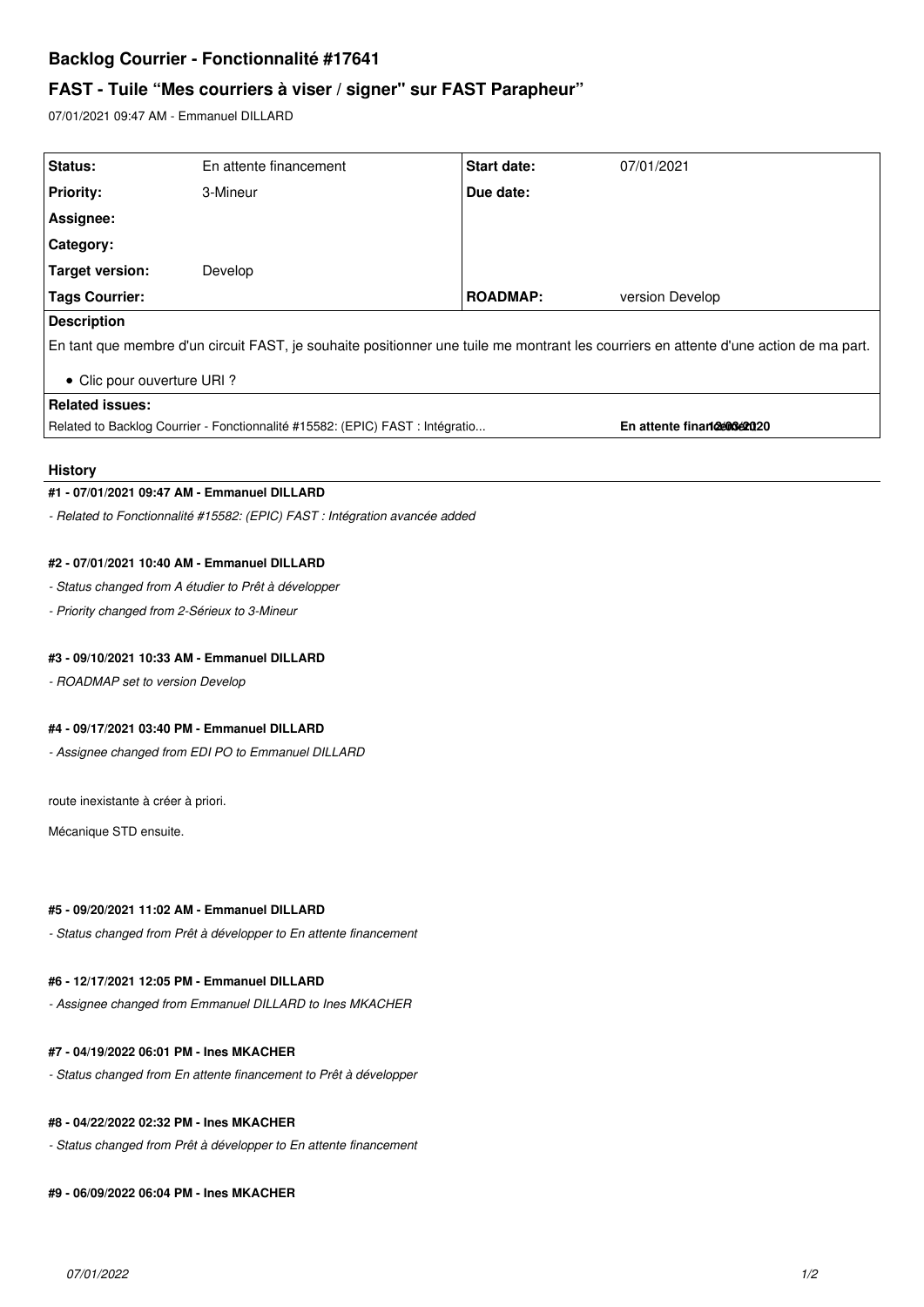# **Backlog Courrier - Fonctionnalité #17641**

# **FAST - Tuile "Mes courriers à viser / signer" sur FAST Parapheur"**

07/01/2021 09:47 AM - Emmanuel DILLARD

| Status:                                                                                                                               | En attente financement | <b>Start date:</b> | 07/01/2021                |
|---------------------------------------------------------------------------------------------------------------------------------------|------------------------|--------------------|---------------------------|
| <b>Priority:</b>                                                                                                                      | 3-Mineur               | Due date:          |                           |
| Assignee:                                                                                                                             |                        |                    |                           |
| <b>Category:</b>                                                                                                                      |                        |                    |                           |
| Target version:                                                                                                                       | Develop                |                    |                           |
| <b>Tags Courrier:</b>                                                                                                                 |                        | <b>ROADMAP:</b>    | version Develop           |
| <b>Description</b>                                                                                                                    |                        |                    |                           |
| En tant que membre d'un circuit FAST, je souhaite positionner une tuile me montrant les courriers en attente d'une action de ma part. |                        |                    |                           |
| • Clic pour ouverture URI?                                                                                                            |                        |                    |                           |
| <b>Related issues:</b>                                                                                                                |                        |                    |                           |
| Related to Backlog Courrier - Fonctionnalité #15582: (EPIC) FAST : Intégratio                                                         |                        |                    | En attente finandement 20 |

#### **History**

## **#1 - 07/01/2021 09:47 AM - Emmanuel DILLARD**

*- Related to Fonctionnalité #15582: (EPIC) FAST : Intégration avancée added*

# **#2 - 07/01/2021 10:40 AM - Emmanuel DILLARD**

## *- Status changed from A étudier to Prêt à développer*

*- Priority changed from 2-Sérieux to 3-Mineur*

### **#3 - 09/10/2021 10:33 AM - Emmanuel DILLARD**

*- ROADMAP set to version Develop*

# **#4 - 09/17/2021 03:40 PM - Emmanuel DILLARD**

*- Assignee changed from EDI PO to Emmanuel DILLARD*

route inexistante à créer à priori.

Mécanique STD ensuite.

### **#5 - 09/20/2021 11:02 AM - Emmanuel DILLARD**

*- Status changed from Prêt à développer to En attente financement*

## **#6 - 12/17/2021 12:05 PM - Emmanuel DILLARD**

*- Assignee changed from Emmanuel DILLARD to Ines MKACHER*

# **#7 - 04/19/2022 06:01 PM - Ines MKACHER**

*- Status changed from En attente financement to Prêt à développer*

# **#8 - 04/22/2022 02:32 PM - Ines MKACHER**

*- Status changed from Prêt à développer to En attente financement*

### **#9 - 06/09/2022 06:04 PM - Ines MKACHER**